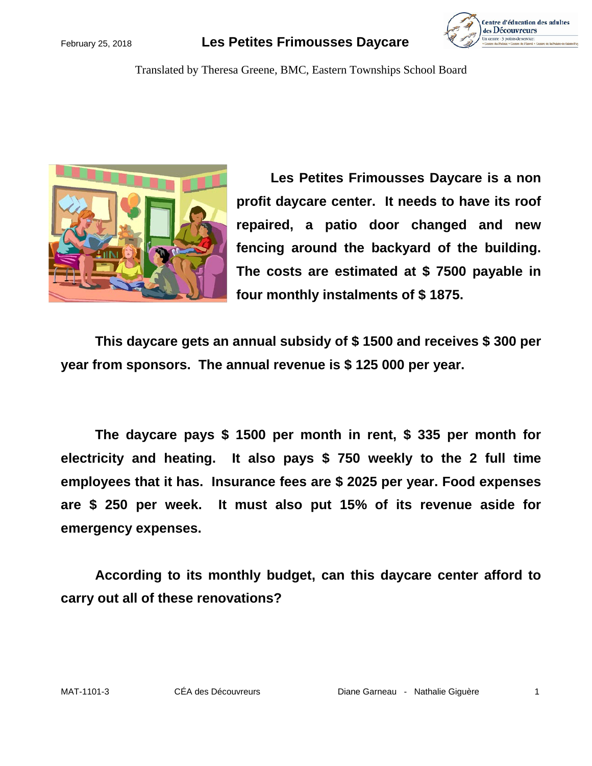### February 25, 2018 **Les Petites Frimousses Daycare**



Translated by Theresa Greene, BMC, Eastern Townships School Board



**Les Petites Frimousses Daycare is a non profit daycare center. It needs to have its roof repaired, a patio door changed and new fencing around the backyard of the building. The costs are estimated at \$ 7500 payable in four monthly instalments of \$ 1875.**

**This daycare gets an annual subsidy of \$ 1500 and receives \$ 300 per year from sponsors. The annual revenue is \$ 125 000 per year.** 

**The daycare pays \$ 1500 per month in rent, \$ 335 per month for electricity and heating. It also pays \$ 750 weekly to the 2 full time employees that it has. Insurance fees are \$ 2025 per year. Food expenses are \$ 250 per week. It must also put 15% of its revenue aside for emergency expenses.**

**According to its monthly budget, can this daycare center afford to carry out all of these renovations?**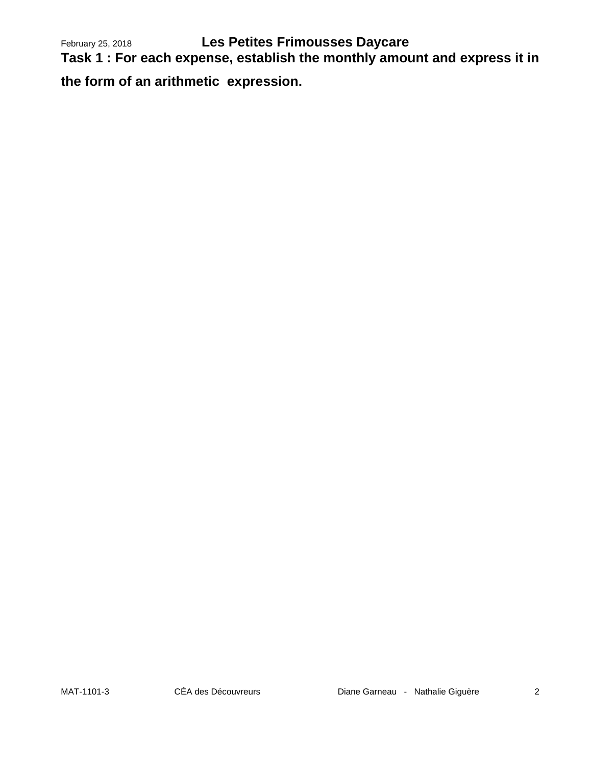February 25, 2018 **Les Petites Frimousses Daycare** 

**Task 1 : For each expense, establish the monthly amount and express it in** 

**the form of an arithmetic expression.**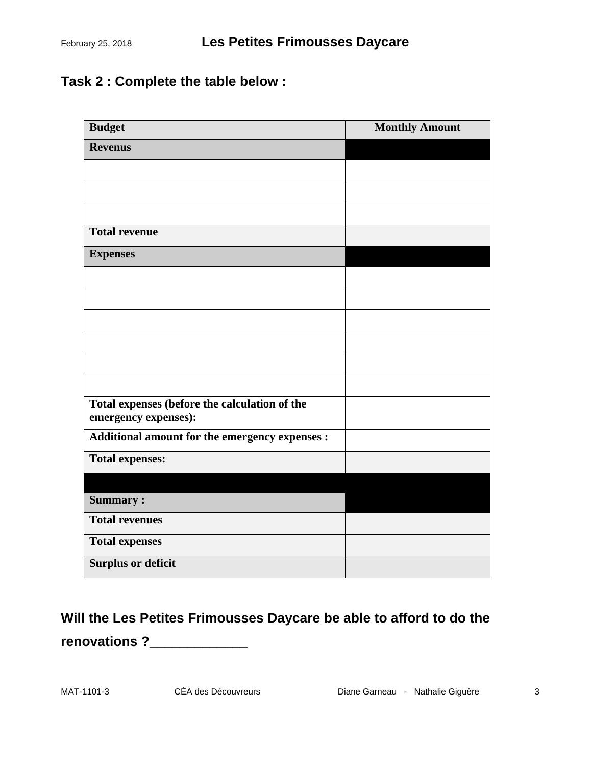# **Task 2 : Complete the table below :**

| <b>Budget</b>                                                         | <b>Monthly Amount</b> |
|-----------------------------------------------------------------------|-----------------------|
| <b>Revenus</b>                                                        |                       |
|                                                                       |                       |
|                                                                       |                       |
|                                                                       |                       |
| <b>Total revenue</b>                                                  |                       |
| <b>Expenses</b>                                                       |                       |
|                                                                       |                       |
|                                                                       |                       |
|                                                                       |                       |
|                                                                       |                       |
|                                                                       |                       |
|                                                                       |                       |
| Total expenses (before the calculation of the<br>emergency expenses): |                       |
| Additional amount for the emergency expenses :                        |                       |
| <b>Total expenses:</b>                                                |                       |
|                                                                       |                       |
| <b>Summary:</b>                                                       |                       |
| <b>Total revenues</b>                                                 |                       |
| <b>Total expenses</b>                                                 |                       |
| <b>Surplus or deficit</b>                                             |                       |

# **Will the Les Petites Frimousses Daycare be able to afford to do the renovations ?\_\_\_\_\_\_\_\_\_\_\_\_\_**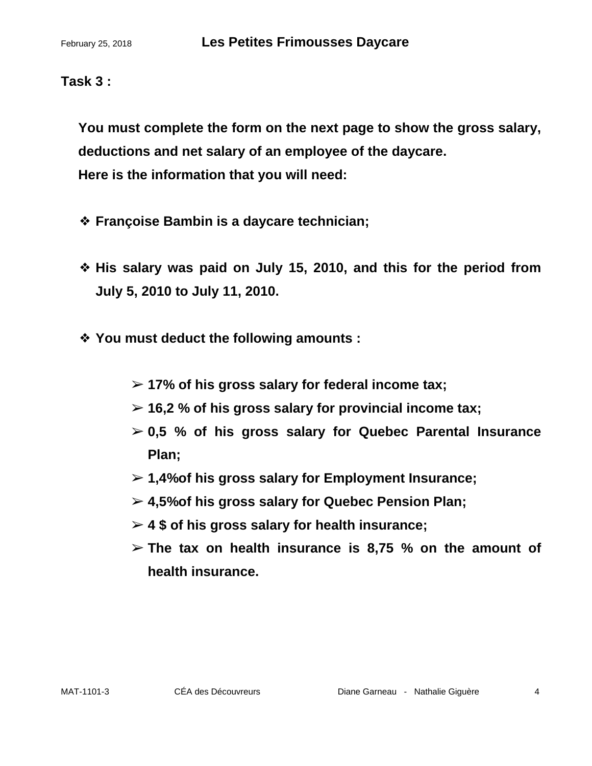## **Task 3 :**

**You must complete the form on the next page to show the gross salary, deductions and net salary of an employee of the daycare. Here is the information that you will need:**

- ❖ **Françoise Bambin is a daycare technician;**
- ❖ **His salary was paid on July 15, 2010, and this for the period from July 5, 2010 to July 11, 2010.**
- ❖ **You must deduct the following amounts :**
	- ➢ **17% of his gross salary for federal income tax;**
	- ➢ **16,2 % of his gross salary for provincial income tax;**
	- ➢ **0,5 % of his gross salary for Quebec Parental Insurance Plan;**
	- ➢ **1,4%of his gross salary for Employment Insurance;**
	- ➢ **4,5%of his gross salary for Quebec Pension Plan;**
	- ➢ **4 \$ of his gross salary for health insurance;**
	- ➢ **The tax on health insurance is 8,75 % on the amount of health insurance.**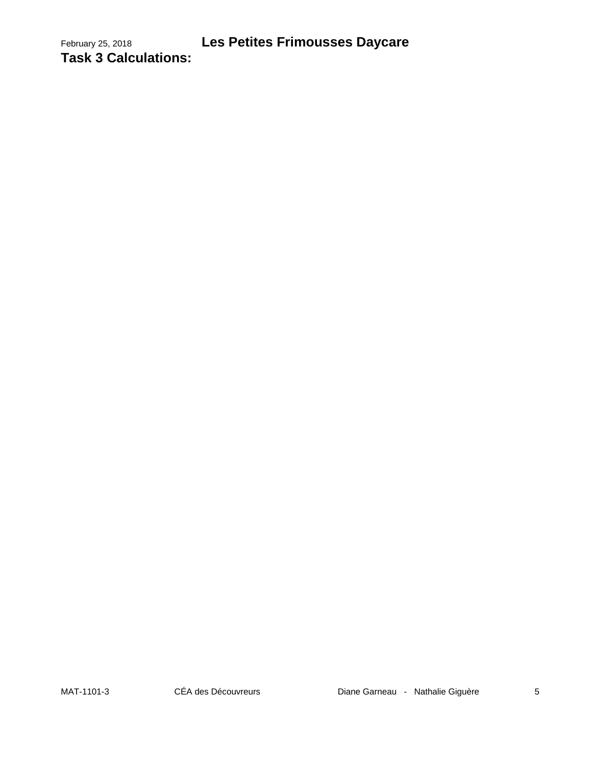February 25, 2018 **Les Petites Frimousses Daycare Task 3 Calculations:**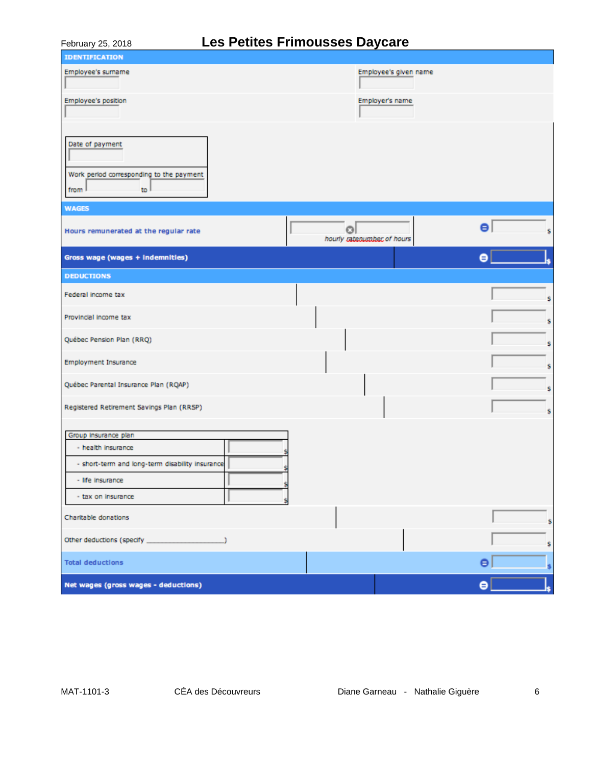# February 25, 2018 **Les Petites Frimousses Daycare**

| <b>IDENTIFICATION</b>                                      |                                       |                 |
|------------------------------------------------------------|---------------------------------------|-----------------|
| Employee's surname                                         | Employee's given name                 |                 |
| Employee's position                                        | Employer's name                       |                 |
|                                                            |                                       |                 |
| Date of payment                                            |                                       |                 |
| Work period corresponding to the payment<br>from I<br>to l |                                       |                 |
| <b>WAGES</b>                                               |                                       |                 |
| Hours remunerated at the regular rate                      | $\circ$<br>hourly rateoumber of hours | $\bullet$<br>\$ |
| Gross wage (wages + Indemnities)                           |                                       | $\bullet$       |
| <b>DEDUCTIONS</b>                                          |                                       |                 |
| Federal income tax                                         |                                       | \$              |
| Provincial income tax                                      |                                       | \$              |
| Québec Pension Plan (RRQ)                                  |                                       | \$              |
| Employment Insurance                                       |                                       | \$              |
| Québec Parental Insurance Plan (RQAP)                      |                                       | \$              |
| Registered Retirement Savings Plan (RRSP)                  |                                       | \$              |
| Group insurance plan                                       |                                       |                 |
| - health insurance                                         |                                       |                 |
| - short-term and long-term disability insurance            |                                       |                 |
| - life insurance                                           |                                       |                 |
| - tax on insurance                                         |                                       |                 |
| Charitable donations                                       |                                       | Ś               |
| Other deductions (specify                                  |                                       | \$              |
| <b>Total deductions</b>                                    |                                       | Θ<br>\$         |
| Net wages (gross wages - deductions)                       |                                       | $\bullet$       |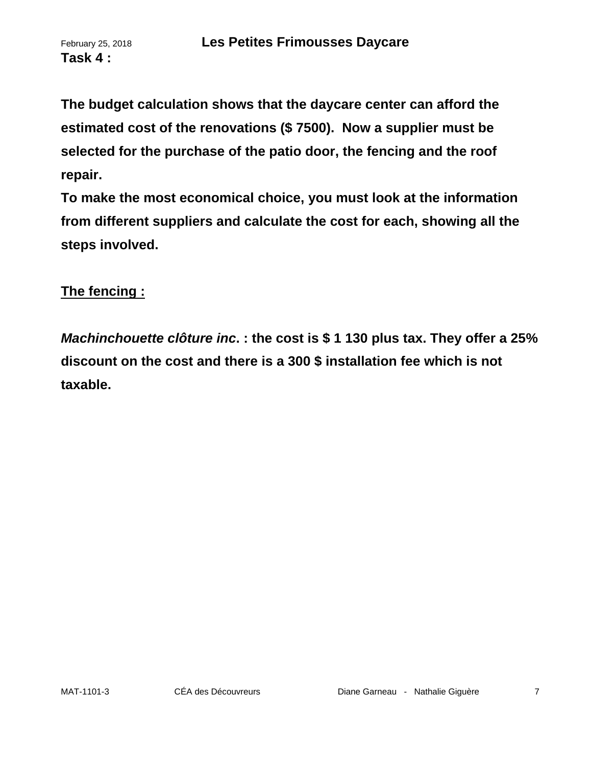**Task 4 :**

**The budget calculation shows that the daycare center can afford the estimated cost of the renovations (\$ 7500). Now a supplier must be selected for the purchase of the patio door, the fencing and the roof repair.**

**To make the most economical choice, you must look at the information from different suppliers and calculate the cost for each, showing all the steps involved.**

## **The fencing :**

*Machinchouette clôture inc***. : the cost is \$ 1 130 plus tax. They offer a 25% discount on the cost and there is a 300 \$ installation fee which is not taxable.**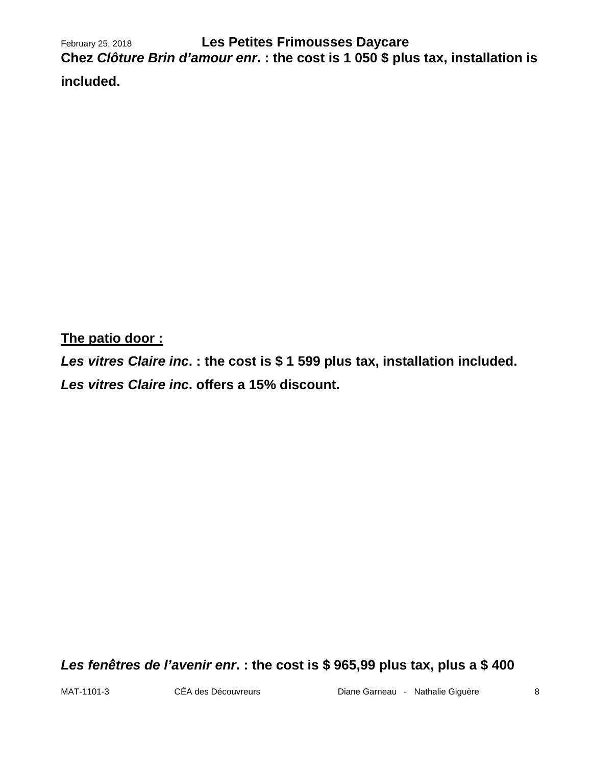February 25, 2018 **Les Petites Frimousses Daycare Chez** *Clôture Brin d'amour enr***. : the cost is 1 050 \$ plus tax, installation is included.** 

**The patio door :**

*Les vitres Claire inc***. : the cost is \$ 1 599 plus tax, installation included.**  *Les vitres Claire inc***. offers a 15% discount.**

*Les fenêtres de l'avenir enr***. : the cost is \$ 965,99 plus tax, plus a \$ 400**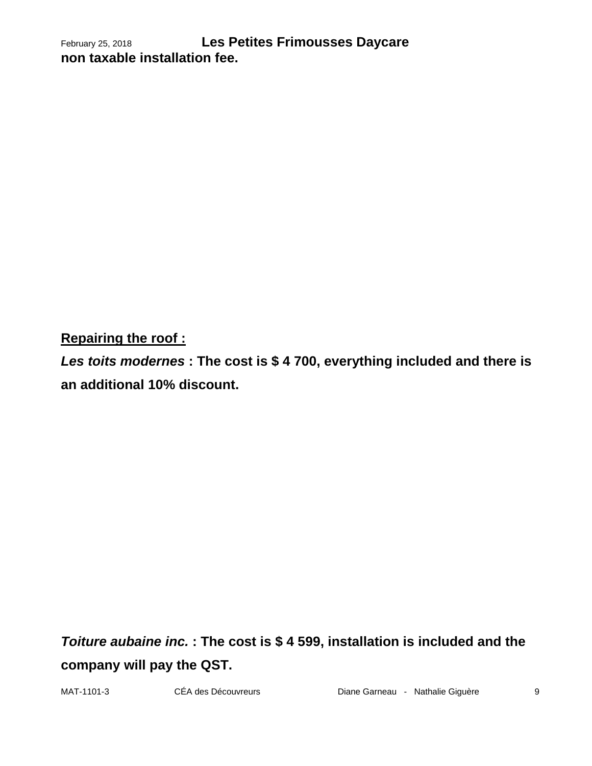February 25, 2018 **Les Petites Frimousses Daycare non taxable installation fee.** 

**Repairing the roof :**

*Les toits modernes* **: The cost is \$ 4 700, everything included and there is an additional 10% discount.**

*Toiture aubaine inc.* **: The cost is \$ 4 599, installation is included and the company will pay the QST.**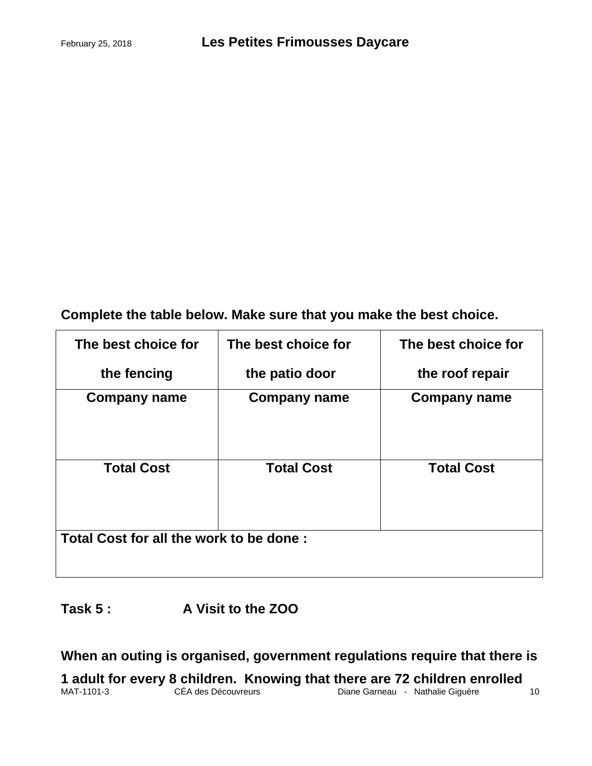**Complete the table below. Make sure that you make the best choice.**

| The best choice for                     | The best choice for | The best choice for |  |
|-----------------------------------------|---------------------|---------------------|--|
| the fencing                             | the patio door      | the roof repair     |  |
| <b>Company name</b>                     | <b>Company name</b> | <b>Company name</b> |  |
| <b>Total Cost</b>                       | <b>Total Cost</b>   | <b>Total Cost</b>   |  |
| Total Cost for all the work to be done: |                     |                     |  |

**Task 5 : A Visit to the ZOO** 

**When an outing is organised, government regulations require that there is** 

MAT-1101-3 CÉA des Découvreurs Diane Garneau - Nathalie Giguère 10 **1 adult for every 8 children. Knowing that there are 72 children enrolled**